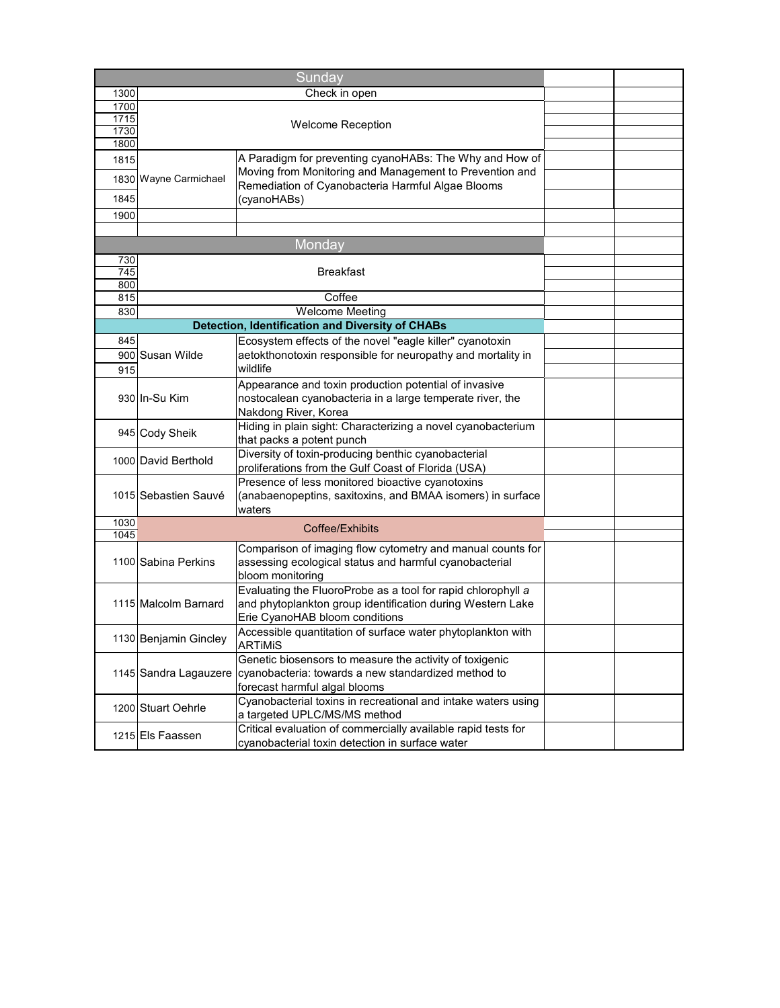|      |                          | Sunday                                                        |  |  |
|------|--------------------------|---------------------------------------------------------------|--|--|
| 1300 | Check in open            |                                                               |  |  |
| 1700 |                          |                                                               |  |  |
| 1715 |                          |                                                               |  |  |
| 1730 | <b>Welcome Reception</b> |                                                               |  |  |
| 1800 |                          |                                                               |  |  |
| 1815 |                          | A Paradigm for preventing cyanoHABs: The Why and How of       |  |  |
|      | 1830 Wayne Carmichael    | Moving from Monitoring and Management to Prevention and       |  |  |
|      |                          | Remediation of Cyanobacteria Harmful Algae Blooms             |  |  |
| 1845 |                          | (cyanoHABs)                                                   |  |  |
| 1900 |                          |                                                               |  |  |
|      |                          |                                                               |  |  |
|      |                          | Monday                                                        |  |  |
| 730  |                          |                                                               |  |  |
| 745  |                          | <b>Breakfast</b>                                              |  |  |
| 800  |                          |                                                               |  |  |
| 815  |                          | Coffee                                                        |  |  |
| 830  |                          | <b>Welcome Meeting</b>                                        |  |  |
|      |                          | <b>Detection, Identification and Diversity of CHABs</b>       |  |  |
| 845  |                          | Ecosystem effects of the novel "eagle killer" cyanotoxin      |  |  |
|      | 900 Susan Wilde          | aetokthonotoxin responsible for neuropathy and mortality in   |  |  |
| 915  |                          | wildlife                                                      |  |  |
|      |                          | Appearance and toxin production potential of invasive         |  |  |
|      | 930 In-Su Kim            | nostocalean cyanobacteria in a large temperate river, the     |  |  |
|      |                          | Nakdong River, Korea                                          |  |  |
|      |                          | Hiding in plain sight: Characterizing a novel cyanobacterium  |  |  |
|      | 945 Cody Sheik           | that packs a potent punch                                     |  |  |
|      |                          | Diversity of toxin-producing benthic cyanobacterial           |  |  |
|      | 1000 David Berthold      | proliferations from the Gulf Coast of Florida (USA)           |  |  |
|      |                          | Presence of less monitored bioactive cyanotoxins              |  |  |
|      | 1015 Sebastien Sauvé     | (anabaenopeptins, saxitoxins, and BMAA isomers) in surface    |  |  |
|      |                          | waters                                                        |  |  |
| 1030 |                          | Coffee/Exhibits                                               |  |  |
| 1045 |                          |                                                               |  |  |
|      |                          | Comparison of imaging flow cytometry and manual counts for    |  |  |
|      | 1100 Sabina Perkins      | assessing ecological status and harmful cyanobacterial        |  |  |
|      |                          | bloom monitoring                                              |  |  |
|      |                          | Evaluating the FluoroProbe as a tool for rapid chlorophyll a  |  |  |
|      | 1115 Malcolm Barnard     | and phytoplankton group identification during Western Lake    |  |  |
|      |                          | Erie CyanoHAB bloom conditions                                |  |  |
|      |                          | Accessible quantitation of surface water phytoplankton with   |  |  |
|      | 1130 Benjamin Gincley    | <b>ARTIMIS</b>                                                |  |  |
|      |                          | Genetic biosensors to measure the activity of toxigenic       |  |  |
|      | 1145 Sandra Lagauzere    | cyanobacteria: towards a new standardized method to           |  |  |
|      |                          | forecast harmful algal blooms                                 |  |  |
|      |                          | Cyanobacterial toxins in recreational and intake waters using |  |  |
|      | 1200 Stuart Oehrle       | a targeted UPLC/MS/MS method                                  |  |  |
|      |                          | Critical evaluation of commercially available rapid tests for |  |  |
|      | 1215 Els Faassen         | cyanobacterial toxin detection in surface water               |  |  |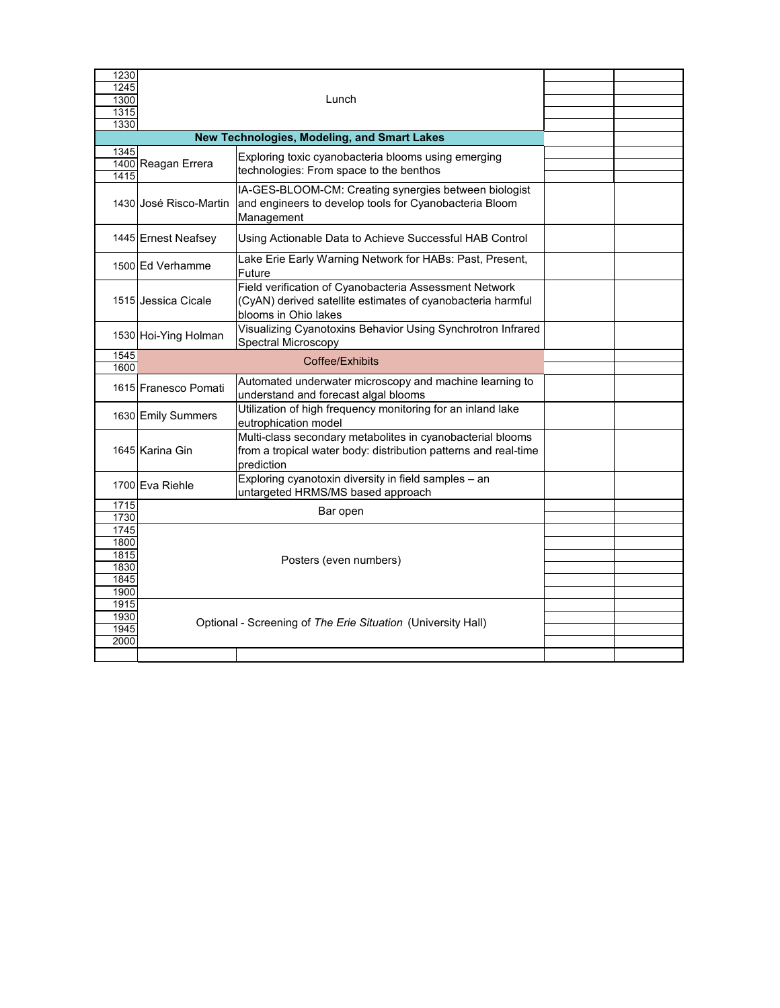| 1230<br>1245<br>1300<br>1315<br>1330 | Lunch                                       |                                                                                                                                               |  |  |
|--------------------------------------|---------------------------------------------|-----------------------------------------------------------------------------------------------------------------------------------------------|--|--|
|                                      | New Technologies, Modeling, and Smart Lakes |                                                                                                                                               |  |  |
| 1345<br>1415                         | 1400 Reagan Errera                          | Exploring toxic cyanobacteria blooms using emerging<br>technologies: From space to the benthos                                                |  |  |
|                                      | 1430 José Risco-Martin                      | IA-GES-BLOOM-CM: Creating synergies between biologist<br>and engineers to develop tools for Cyanobacteria Bloom<br>Management                 |  |  |
|                                      | 1445 Ernest Neafsey                         | Using Actionable Data to Achieve Successful HAB Control                                                                                       |  |  |
|                                      | 1500 Ed Verhamme                            | Lake Erie Early Warning Network for HABs: Past, Present,<br>Future                                                                            |  |  |
|                                      | 1515 Jessica Cicale                         | Field verification of Cyanobacteria Assessment Network<br>(CyAN) derived satellite estimates of cyanobacteria harmful<br>blooms in Ohio lakes |  |  |
|                                      | 1530 Hoi-Ying Holman                        | Visualizing Cyanotoxins Behavior Using Synchrotron Infrared<br>Spectral Microscopy                                                            |  |  |
| 1545<br>1600                         |                                             | Coffee/Exhibits                                                                                                                               |  |  |
|                                      | 1615 Franesco Pomati                        | Automated underwater microscopy and machine learning to<br>understand and forecast algal blooms                                               |  |  |
|                                      | 1630 Emily Summers                          | Utilization of high frequency monitoring for an inland lake<br>eutrophication model                                                           |  |  |
|                                      | 1645 Karina Gin                             | Multi-class secondary metabolites in cyanobacterial blooms<br>from a tropical water body: distribution patterns and real-time<br>prediction   |  |  |
|                                      | 1700 Eva Riehle                             | Exploring cyanotoxin diversity in field samples - an<br>untargeted HRMS/MS based approach                                                     |  |  |
| 1715                                 | Bar open                                    |                                                                                                                                               |  |  |
| 1730                                 |                                             |                                                                                                                                               |  |  |
| 1745<br>1800                         |                                             |                                                                                                                                               |  |  |
| 1815                                 |                                             |                                                                                                                                               |  |  |
| 1830                                 |                                             | Posters (even numbers)                                                                                                                        |  |  |
| 1845                                 |                                             |                                                                                                                                               |  |  |
| 1900                                 |                                             |                                                                                                                                               |  |  |
| 1915                                 |                                             |                                                                                                                                               |  |  |
| 1930<br>1945                         |                                             | Optional - Screening of The Erie Situation (University Hall)                                                                                  |  |  |
| 2000                                 |                                             |                                                                                                                                               |  |  |
|                                      |                                             |                                                                                                                                               |  |  |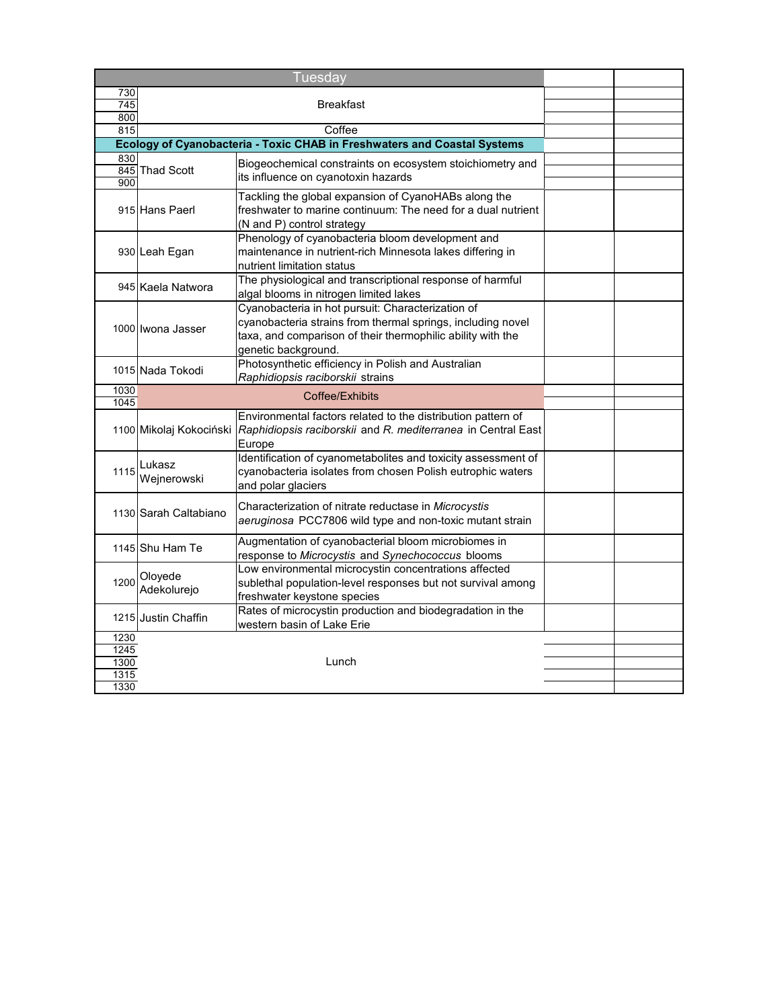| <b>Tuesday</b> |                         |                                                                                                                                                                                                        |  |  |
|----------------|-------------------------|--------------------------------------------------------------------------------------------------------------------------------------------------------------------------------------------------------|--|--|
| 730            |                         |                                                                                                                                                                                                        |  |  |
| 745            | Breakfast               |                                                                                                                                                                                                        |  |  |
| 800<br>815     | Coffee                  |                                                                                                                                                                                                        |  |  |
|                |                         | Ecology of Cyanobacteria - Toxic CHAB in Freshwaters and Coastal Systems                                                                                                                               |  |  |
| 830            |                         |                                                                                                                                                                                                        |  |  |
|                | 845 Thad Scott          | Biogeochemical constraints on ecosystem stoichiometry and                                                                                                                                              |  |  |
| 900            |                         | its influence on cyanotoxin hazards                                                                                                                                                                    |  |  |
|                | 915 Hans Paerl          | Tackling the global expansion of CyanoHABs along the<br>freshwater to marine continuum: The need for a dual nutrient<br>(N and P) control strategy                                                     |  |  |
|                | 930 Leah Egan           | Phenology of cyanobacteria bloom development and<br>maintenance in nutrient-rich Minnesota lakes differing in<br>nutrient limitation status                                                            |  |  |
|                | 945 Kaela Natwora       | The physiological and transcriptional response of harmful<br>algal blooms in nitrogen limited lakes                                                                                                    |  |  |
|                | 1000 Iwona Jasser       | Cyanobacteria in hot pursuit: Characterization of<br>cyanobacteria strains from thermal springs, including novel<br>taxa, and comparison of their thermophilic ability with the<br>genetic background. |  |  |
|                | 1015 Nada Tokodi        | Photosynthetic efficiency in Polish and Australian<br>Raphidiopsis raciborskii strains                                                                                                                 |  |  |
| 1030<br>1045   |                         | Coffee/Exhibits                                                                                                                                                                                        |  |  |
|                | 1100 Mikolaj Kokociński | Environmental factors related to the distribution pattern of<br>Raphidiopsis raciborskii and R. mediterranea in Central East<br>Europe                                                                 |  |  |
| 1115           | Lukasz<br>Wejnerowski   | Identification of cyanometabolites and toxicity assessment of<br>cyanobacteria isolates from chosen Polish eutrophic waters<br>and polar glaciers                                                      |  |  |
|                | 1130 Sarah Caltabiano   | Characterization of nitrate reductase in Microcystis<br>aeruginosa PCC7806 wild type and non-toxic mutant strain                                                                                       |  |  |
|                | 1145 Shu Ham Te         | Augmentation of cyanobacterial bloom microbiomes in<br>response to Microcystis and Synechococcus blooms                                                                                                |  |  |
| 1200           | Oloyede<br>Adekolurejo  | Low environmental microcystin concentrations affected<br>sublethal population-level responses but not survival among<br>freshwater keystone species                                                    |  |  |
|                | 1215 Justin Chaffin     | Rates of microcystin production and biodegradation in the<br>western basin of Lake Erie                                                                                                                |  |  |
| 1230           |                         |                                                                                                                                                                                                        |  |  |
| 1245           |                         |                                                                                                                                                                                                        |  |  |
| 1300<br>1315   |                         | Lunch                                                                                                                                                                                                  |  |  |
| 1330           |                         |                                                                                                                                                                                                        |  |  |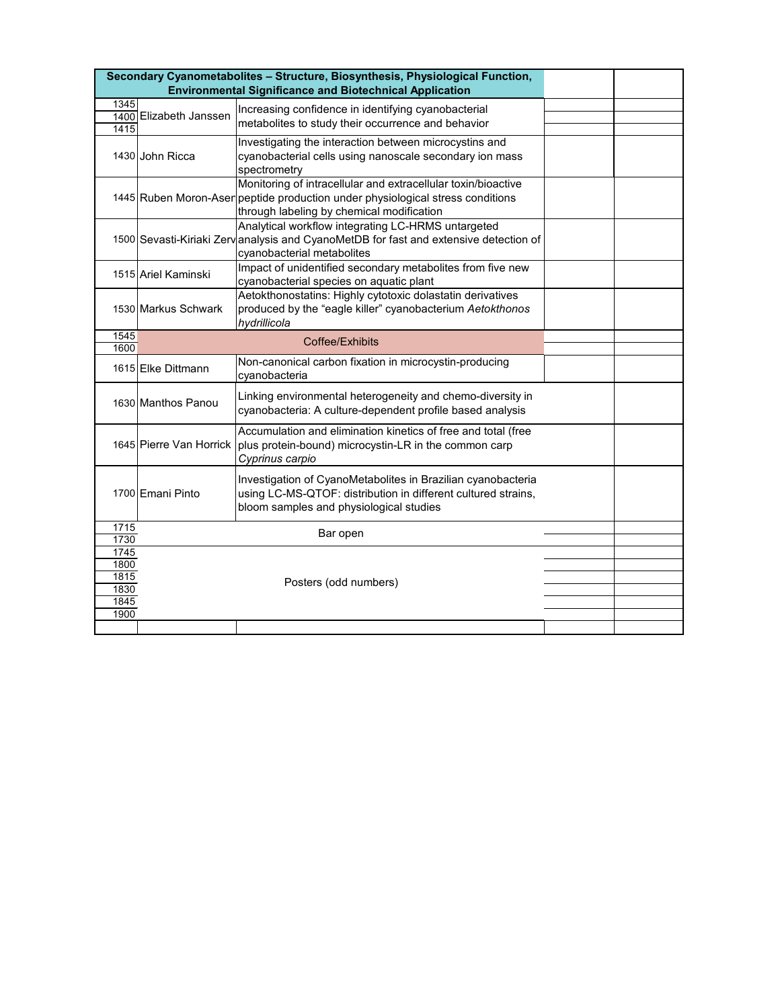|              |                                                                | Secondary Cyanometabolites - Structure, Biosynthesis, Physiological Function,        |  |  |  |
|--------------|----------------------------------------------------------------|--------------------------------------------------------------------------------------|--|--|--|
|              | <b>Environmental Significance and Biotechnical Application</b> |                                                                                      |  |  |  |
| 1345         |                                                                | Increasing confidence in identifying cyanobacterial                                  |  |  |  |
| 1415         | 1400 Elizabeth Janssen                                         | metabolites to study their occurrence and behavior                                   |  |  |  |
|              |                                                                | Investigating the interaction between microcystins and                               |  |  |  |
|              | 1430 John Ricca                                                | cyanobacterial cells using nanoscale secondary ion mass                              |  |  |  |
|              |                                                                | spectrometry                                                                         |  |  |  |
|              |                                                                | Monitoring of intracellular and extracellular toxin/bioactive                        |  |  |  |
|              |                                                                | 1445 Ruben Moron-Asen peptide production under physiological stress conditions       |  |  |  |
|              |                                                                | through labeling by chemical modification                                            |  |  |  |
|              |                                                                | Analytical workflow integrating LC-HRMS untargeted                                   |  |  |  |
|              |                                                                | 1500 Sevasti-Kiriaki Zervanalysis and CyanoMetDB for fast and extensive detection of |  |  |  |
|              |                                                                | cyanobacterial metabolites                                                           |  |  |  |
|              | 1515 Ariel Kaminski                                            | Impact of unidentified secondary metabolites from five new                           |  |  |  |
|              |                                                                | cyanobacterial species on aquatic plant                                              |  |  |  |
|              |                                                                | Aetokthonostatins: Highly cytotoxic dolastatin derivatives                           |  |  |  |
|              | 1530 Markus Schwark                                            | produced by the "eagle killer" cyanobacterium Aetokthonos                            |  |  |  |
| 1545         |                                                                | hydrillicola                                                                         |  |  |  |
| 1600         |                                                                | Coffee/Exhibits                                                                      |  |  |  |
|              | 1615 Elke Dittmann                                             | Non-canonical carbon fixation in microcystin-producing                               |  |  |  |
|              |                                                                | cvanobacteria                                                                        |  |  |  |
|              |                                                                | Linking environmental heterogeneity and chemo-diversity in                           |  |  |  |
|              | 1630 Manthos Panou                                             | cyanobacteria: A culture-dependent profile based analysis                            |  |  |  |
|              |                                                                | Accumulation and elimination kinetics of free and total (free                        |  |  |  |
|              |                                                                | 1645 Pierre Van Horrick   plus protein-bound) microcystin-LR in the common carp      |  |  |  |
|              |                                                                | Cyprinus carpio                                                                      |  |  |  |
|              |                                                                |                                                                                      |  |  |  |
|              |                                                                | Investigation of CyanoMetabolites in Brazilian cyanobacteria                         |  |  |  |
|              | 1700 Emani Pinto                                               | using LC-MS-QTOF: distribution in different cultured strains,                        |  |  |  |
|              |                                                                | bloom samples and physiological studies                                              |  |  |  |
| 1715         |                                                                | Bar open                                                                             |  |  |  |
| 1730         |                                                                |                                                                                      |  |  |  |
| 1745<br>1800 |                                                                |                                                                                      |  |  |  |
| 1815         |                                                                |                                                                                      |  |  |  |
| 1830         |                                                                | Posters (odd numbers)                                                                |  |  |  |
| 1845         |                                                                |                                                                                      |  |  |  |
| 1900         |                                                                |                                                                                      |  |  |  |
|              |                                                                |                                                                                      |  |  |  |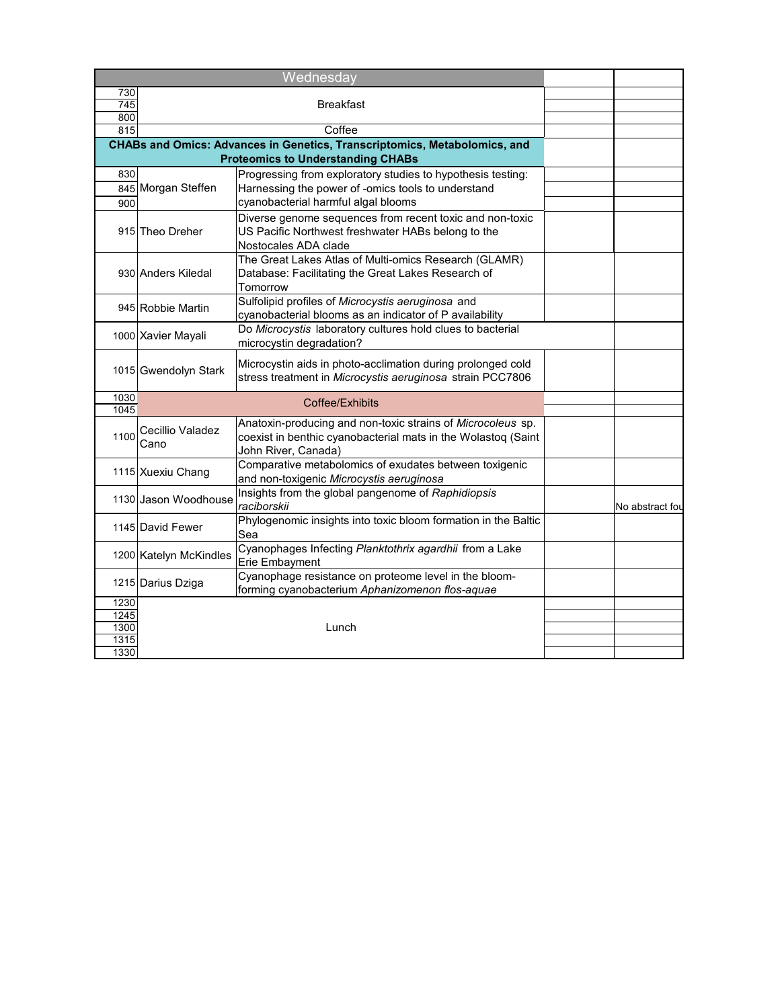|                                      |                          | Wednesday                                                                                                                                           |                 |
|--------------------------------------|--------------------------|-----------------------------------------------------------------------------------------------------------------------------------------------------|-----------------|
| 730                                  |                          |                                                                                                                                                     |                 |
| 745<br>800                           |                          | <b>Breakfast</b>                                                                                                                                    |                 |
| 815                                  |                          | Coffee                                                                                                                                              |                 |
|                                      |                          | CHABs and Omics: Advances in Genetics, Transcriptomics, Metabolomics, and                                                                           |                 |
|                                      |                          | <b>Proteomics to Understanding CHABs</b>                                                                                                            |                 |
| 830                                  |                          | Progressing from exploratory studies to hypothesis testing:                                                                                         |                 |
|                                      | 845 Morgan Steffen       | Harnessing the power of -omics tools to understand                                                                                                  |                 |
| 900                                  |                          | cyanobacterial harmful algal blooms                                                                                                                 |                 |
|                                      | 915 Theo Dreher          | Diverse genome sequences from recent toxic and non-toxic<br>US Pacific Northwest freshwater HABs belong to the<br>Nostocales ADA clade              |                 |
|                                      | 930 Anders Kiledal       | The Great Lakes Atlas of Multi-omics Research (GLAMR)<br>Database: Facilitating the Great Lakes Research of<br>Tomorrow                             |                 |
|                                      | 945 Robbie Martin        | Sulfolipid profiles of Microcystis aeruginosa and<br>cyanobacterial blooms as an indicator of P availability                                        |                 |
|                                      | 1000 Xavier Mayali       | Do Microcystis laboratory cultures hold clues to bacterial<br>microcystin degradation?                                                              |                 |
|                                      | 1015 Gwendolyn Stark     | Microcystin aids in photo-acclimation during prolonged cold<br>stress treatment in Microcystis aeruginosa strain PCC7806                            |                 |
| 1030<br>$1045$                       |                          | Coffee/Exhibits                                                                                                                                     |                 |
| 1100                                 | Cecillio Valadez<br>Cano | Anatoxin-producing and non-toxic strains of Microcoleus sp.<br>coexist in benthic cyanobacterial mats in the Wolastoq (Saint<br>John River, Canada) |                 |
|                                      | 1115 Xuexiu Chang        | Comparative metabolomics of exudates between toxigenic<br>and non-toxigenic Microcystis aeruginosa                                                  |                 |
|                                      | 1130 Jason Woodhouse     | Insights from the global pangenome of Raphidiopsis<br>raciborskii                                                                                   | No abstract fou |
|                                      | 1145 David Fewer         | Phylogenomic insights into toxic bloom formation in the Baltic<br>Sea                                                                               |                 |
|                                      | 1200 Katelyn McKindles   | Cyanophages Infecting Planktothrix agardhii from a Lake<br>Erie Embayment                                                                           |                 |
|                                      | 1215 Darius Dziga        | Cyanophage resistance on proteome level in the bloom-<br>forming cyanobacterium Aphanizomenon flos-aquae                                            |                 |
| 1230<br>1245<br>1300<br>1315<br>1330 |                          | Lunch                                                                                                                                               |                 |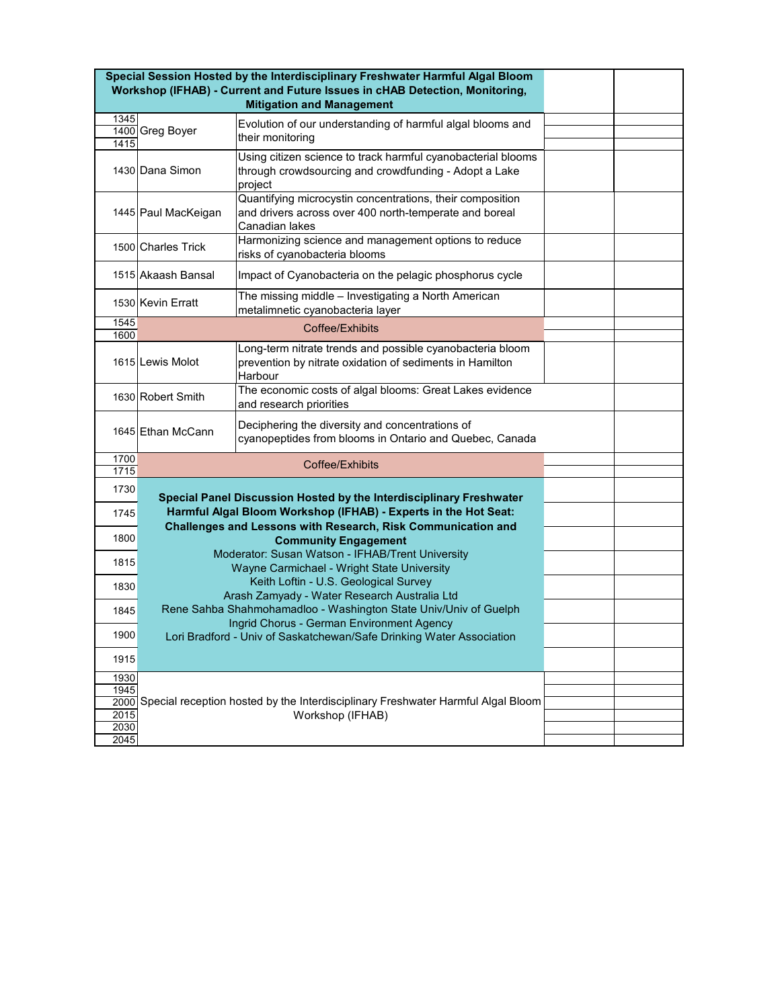| <b>Mitigation and Management</b><br>1345<br>Evolution of our understanding of harmful algal blooms and<br>1400 Greg Boyer<br>their monitoring<br>1415        |  |
|--------------------------------------------------------------------------------------------------------------------------------------------------------------|--|
|                                                                                                                                                              |  |
|                                                                                                                                                              |  |
|                                                                                                                                                              |  |
| Using citizen science to track harmful cyanobacterial blooms<br>through crowdsourcing and crowdfunding - Adopt a Lake<br>1430 Dana Simon<br>project          |  |
| Quantifying microcystin concentrations, their composition<br>and drivers across over 400 north-temperate and boreal<br>1445 Paul MacKeigan<br>Canadian lakes |  |
| Harmonizing science and management options to reduce<br>1500 Charles Trick<br>risks of cyanobacteria blooms                                                  |  |
| 1515 Akaash Bansal<br>Impact of Cyanobacteria on the pelagic phosphorus cycle                                                                                |  |
| The missing middle - Investigating a North American<br>1530 Kevin Erratt<br>metalimnetic cyanobacteria layer                                                 |  |
| 1545<br>Coffee/Exhibits                                                                                                                                      |  |
| 1600                                                                                                                                                         |  |
| Long-term nitrate trends and possible cyanobacteria bloom<br>prevention by nitrate oxidation of sediments in Hamilton<br>1615 Lewis Molot<br>Harbour         |  |
| The economic costs of algal blooms: Great Lakes evidence<br>1630 Robert Smith<br>and research priorities                                                     |  |
| Deciphering the diversity and concentrations of<br>1645 Ethan McCann<br>cyanopeptides from blooms in Ontario and Quebec, Canada                              |  |
| 1700                                                                                                                                                         |  |
| Coffee/Exhibits<br>1715                                                                                                                                      |  |
| 1730<br>Special Panel Discussion Hosted by the Interdisciplinary Freshwater                                                                                  |  |
| Harmful Algal Bloom Workshop (IFHAB) - Experts in the Hot Seat:<br>1745                                                                                      |  |
| Challenges and Lessons with Research, Risk Communication and<br>1800<br><b>Community Engagement</b>                                                          |  |
| Moderator: Susan Watson - IFHAB/Trent University<br>1815<br>Wayne Carmichael - Wright State University                                                       |  |
| Keith Loftin - U.S. Geological Survey<br>1830<br>Arash Zamyady - Water Research Australia Ltd                                                                |  |
| Rene Sahba Shahmohamadloo - Washington State Univ/Univ of Guelph<br>1845<br>Ingrid Chorus - German Environment Agency                                        |  |
| 1900<br>Lori Bradford - Univ of Saskatchewan/Safe Drinking Water Association                                                                                 |  |
| 1915                                                                                                                                                         |  |
| 1930                                                                                                                                                         |  |
| 1945                                                                                                                                                         |  |
|                                                                                                                                                              |  |
| 2000 Special reception hosted by the Interdisciplinary Freshwater Harmful Algal Bloom                                                                        |  |
| 2015<br>Workshop (IFHAB)<br>2030                                                                                                                             |  |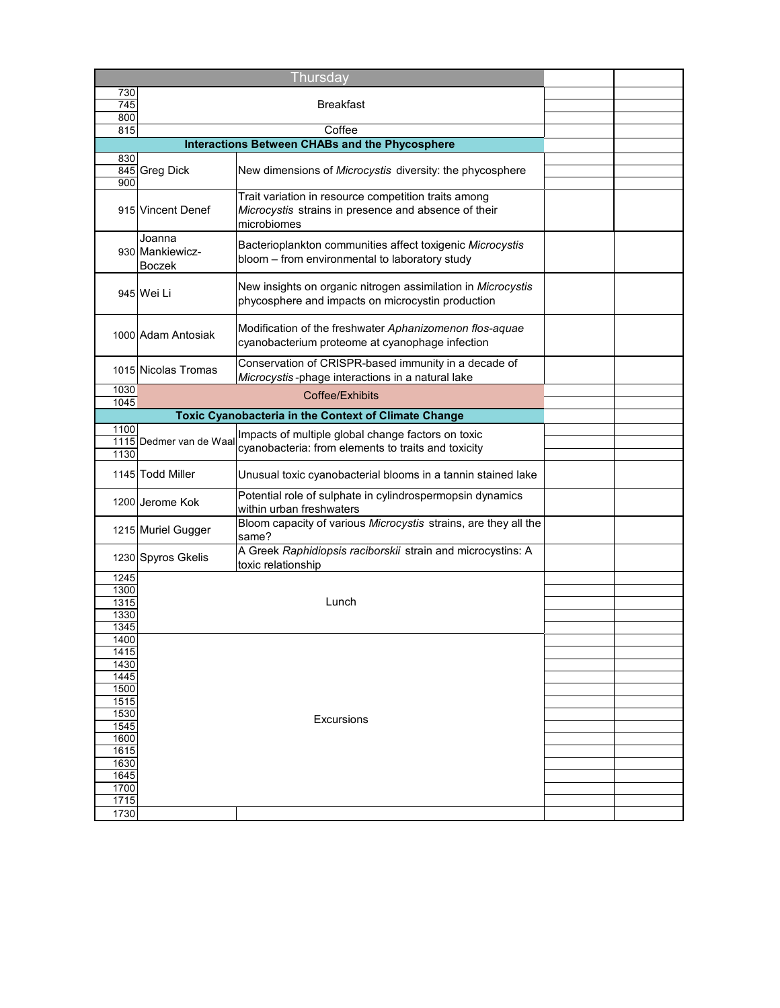|                          |                                            | Thursday                                                                                                                    |  |  |
|--------------------------|--------------------------------------------|-----------------------------------------------------------------------------------------------------------------------------|--|--|
| 730                      | <b>Breakfast</b>                           |                                                                                                                             |  |  |
| 745<br>800               |                                            |                                                                                                                             |  |  |
| 815                      |                                            | Coffee                                                                                                                      |  |  |
|                          |                                            | Interactions Between CHABs and the Phycosphere                                                                              |  |  |
| 830                      |                                            |                                                                                                                             |  |  |
|                          | 845 Greg Dick                              | New dimensions of <i>Microcystis</i> diversity: the phycosphere                                                             |  |  |
| 900                      | 915 Vincent Denef                          | Trait variation in resource competition traits among<br>Microcystis strains in presence and absence of their<br>microbiomes |  |  |
|                          | Joanna<br>930 Mankiewicz-<br><b>Boczek</b> | Bacterioplankton communities affect toxigenic Microcystis<br>bloom - from environmental to laboratory study                 |  |  |
|                          | 945 Wei Li                                 | New insights on organic nitrogen assimilation in Microcystis<br>phycosphere and impacts on microcystin production           |  |  |
|                          | 1000 Adam Antosiak                         | Modification of the freshwater Aphanizomenon flos-aquae<br>cyanobacterium proteome at cyanophage infection                  |  |  |
|                          | 1015 Nicolas Tromas                        | Conservation of CRISPR-based immunity in a decade of<br>Microcystis-phage interactions in a natural lake                    |  |  |
| 1030<br>1045             |                                            | Coffee/Exhibits                                                                                                             |  |  |
|                          |                                            | <b>Toxic Cyanobacteria in the Context of Climate Change</b>                                                                 |  |  |
| 1100                     |                                            | Impacts of multiple global change factors on toxic                                                                          |  |  |
| 1130                     | 1115 Dedmer van de Waal                    | cyanobacteria: from elements to traits and toxicity                                                                         |  |  |
|                          | 1145 Todd Miller                           | Unusual toxic cyanobacterial blooms in a tannin stained lake                                                                |  |  |
|                          | 1200 Jerome Kok                            | Potential role of sulphate in cylindrospermopsin dynamics<br>within urban freshwaters                                       |  |  |
|                          | 1215 Muriel Gugger                         | Bloom capacity of various Microcystis strains, are they all the<br>same?                                                    |  |  |
|                          | 1230 Spyros Gkelis                         | A Greek Raphidiopsis raciborskii strain and microcystins: A<br>toxic relationship                                           |  |  |
| 1245                     |                                            |                                                                                                                             |  |  |
| 1300<br>1315             |                                            | Lunch                                                                                                                       |  |  |
| 1330                     |                                            |                                                                                                                             |  |  |
| 1345                     |                                            |                                                                                                                             |  |  |
| 1400<br>1415             |                                            |                                                                                                                             |  |  |
| 1430                     |                                            |                                                                                                                             |  |  |
| 1445                     |                                            |                                                                                                                             |  |  |
| 1500                     |                                            |                                                                                                                             |  |  |
| $\frac{1515}{2}$<br>1530 |                                            |                                                                                                                             |  |  |
| 1545                     |                                            | Excursions                                                                                                                  |  |  |
| 1600                     |                                            |                                                                                                                             |  |  |
| 1615                     |                                            |                                                                                                                             |  |  |
| 1630<br>1645             |                                            |                                                                                                                             |  |  |
| 1700                     |                                            |                                                                                                                             |  |  |
| 1715                     |                                            |                                                                                                                             |  |  |
| 1730                     |                                            |                                                                                                                             |  |  |